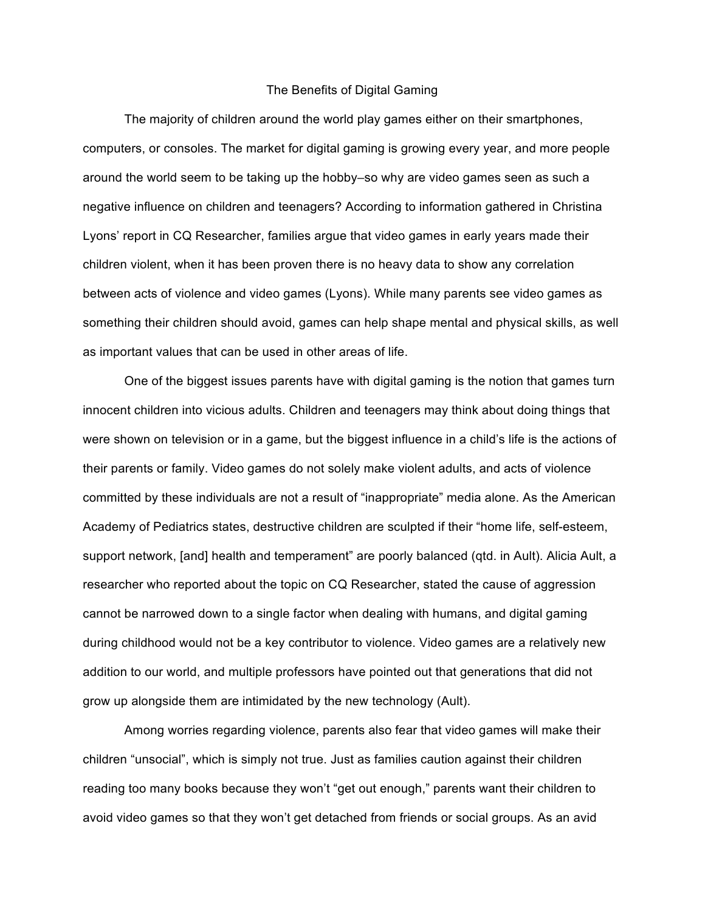## The Benefits of Digital Gaming

The majority of children around the world play games either on their smartphones, computers, or consoles. The market for digital gaming is growing every year, and more people around the world seem to be taking up the hobby–so why are video games seen as such a negative influence on children and teenagers? According to information gathered in Christina Lyons' report in CQ Researcher, families argue that video games in early years made their children violent, when it has been proven there is no heavy data to show any correlation between acts of violence and video games (Lyons). While many parents see video games as something their children should avoid, games can help shape mental and physical skills, as well as important values that can be used in other areas of life.

One of the biggest issues parents have with digital gaming is the notion that games turn innocent children into vicious adults. Children and teenagers may think about doing things that were shown on television or in a game, but the biggest influence in a child's life is the actions of their parents or family. Video games do not solely make violent adults, and acts of violence committed by these individuals are not a result of "inappropriate" media alone. As the American Academy of Pediatrics states, destructive children are sculpted if their "home life, self-esteem, support network, [and] health and temperament" are poorly balanced (qtd. in Ault). Alicia Ault, a researcher who reported about the topic on CQ Researcher, stated the cause of aggression cannot be narrowed down to a single factor when dealing with humans, and digital gaming during childhood would not be a key contributor to violence. Video games are a relatively new addition to our world, and multiple professors have pointed out that generations that did not grow up alongside them are intimidated by the new technology (Ault).

Among worries regarding violence, parents also fear that video games will make their children "unsocial", which is simply not true. Just as families caution against their children reading too many books because they won't "get out enough," parents want their children to avoid video games so that they won't get detached from friends or social groups. As an avid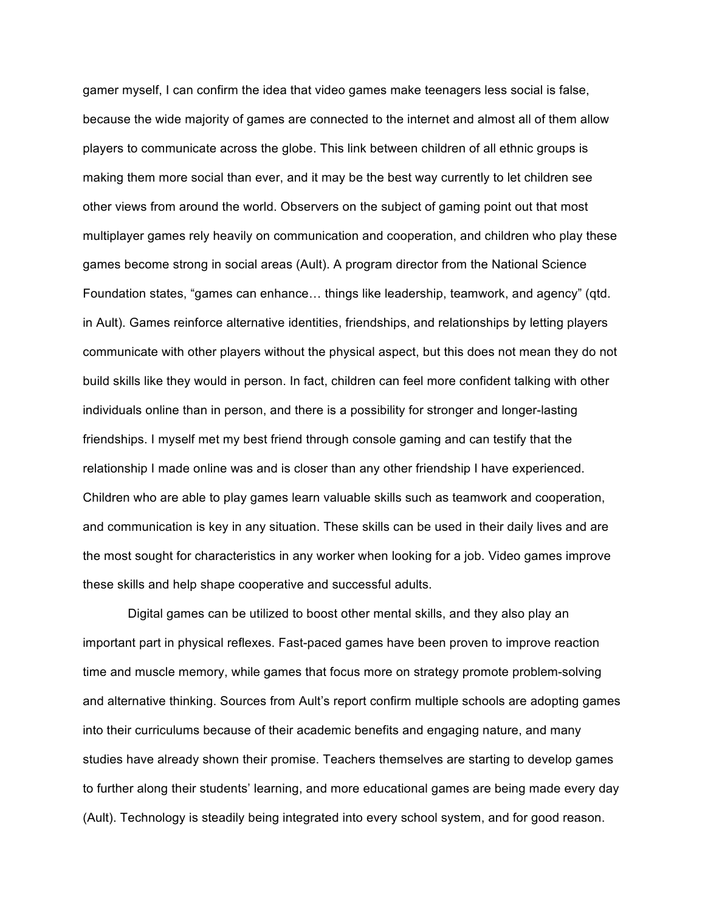gamer myself, I can confirm the idea that video games make teenagers less social is false, because the wide majority of games are connected to the internet and almost all of them allow players to communicate across the globe. This link between children of all ethnic groups is making them more social than ever, and it may be the best way currently to let children see other views from around the world. Observers on the subject of gaming point out that most multiplayer games rely heavily on communication and cooperation, and children who play these games become strong in social areas (Ault). A program director from the National Science Foundation states, "games can enhance… things like leadership, teamwork, and agency" (qtd. in Ault). Games reinforce alternative identities, friendships, and relationships by letting players communicate with other players without the physical aspect, but this does not mean they do not build skills like they would in person. In fact, children can feel more confident talking with other individuals online than in person, and there is a possibility for stronger and longer-lasting friendships. I myself met my best friend through console gaming and can testify that the relationship I made online was and is closer than any other friendship I have experienced. Children who are able to play games learn valuable skills such as teamwork and cooperation, and communication is key in any situation. These skills can be used in their daily lives and are the most sought for characteristics in any worker when looking for a job. Video games improve these skills and help shape cooperative and successful adults.

Digital games can be utilized to boost other mental skills, and they also play an important part in physical reflexes. Fast-paced games have been proven to improve reaction time and muscle memory, while games that focus more on strategy promote problem-solving and alternative thinking. Sources from Ault's report confirm multiple schools are adopting games into their curriculums because of their academic benefits and engaging nature, and many studies have already shown their promise. Teachers themselves are starting to develop games to further along their students' learning, and more educational games are being made every day (Ault). Technology is steadily being integrated into every school system, and for good reason.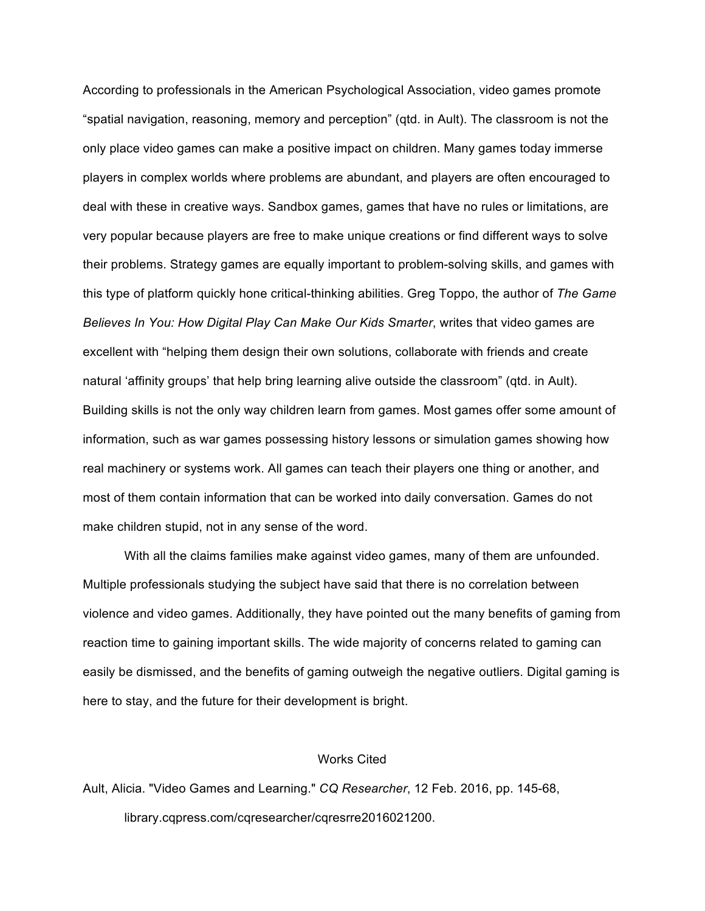According to professionals in the American Psychological Association, video games promote "spatial navigation, reasoning, memory and perception" (qtd. in Ault). The classroom is not the only place video games can make a positive impact on children. Many games today immerse players in complex worlds where problems are abundant, and players are often encouraged to deal with these in creative ways. Sandbox games, games that have no rules or limitations, are very popular because players are free to make unique creations or find different ways to solve their problems. Strategy games are equally important to problem-solving skills, and games with this type of platform quickly hone critical-thinking abilities. Greg Toppo, the author of *The Game Believes In You: How Digital Play Can Make Our Kids Smarter*, writes that video games are excellent with "helping them design their own solutions, collaborate with friends and create natural 'affinity groups' that help bring learning alive outside the classroom" (qtd. in Ault). Building skills is not the only way children learn from games. Most games offer some amount of information, such as war games possessing history lessons or simulation games showing how real machinery or systems work. All games can teach their players one thing or another, and most of them contain information that can be worked into daily conversation. Games do not make children stupid, not in any sense of the word.

With all the claims families make against video games, many of them are unfounded. Multiple professionals studying the subject have said that there is no correlation between violence and video games. Additionally, they have pointed out the many benefits of gaming from reaction time to gaining important skills. The wide majority of concerns related to gaming can easily be dismissed, and the benefits of gaming outweigh the negative outliers. Digital gaming is here to stay, and the future for their development is bright.

## Works Cited

Ault, Alicia. "Video Games and Learning." *CQ Researcher*, 12 Feb. 2016, pp. 145-68, library.cqpress.com/cqresearcher/cqresrre2016021200.